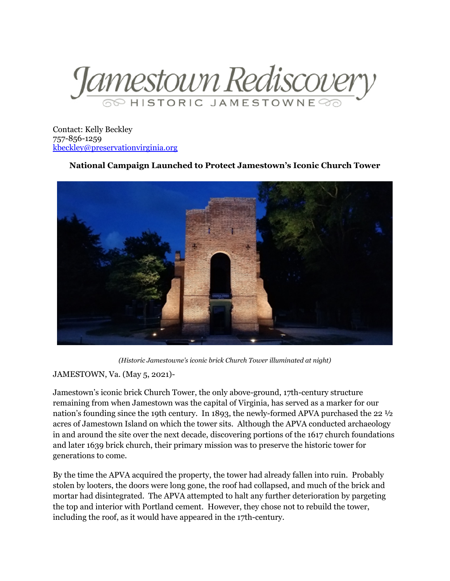

Contact: Kelly Beckley 757-856-1259 [kbeckley@preservationvirginia.org](mailto:kbeckley@preservationvirginia.org)

## **National Campaign Launched to Protect Jamestown's Iconic Church Tower**



*(Historic Jamestowne's iconic brick Church Tower illuminated at night)*

## JAMESTOWN, Va. (May 5, 2021)-

Jamestown's iconic brick Church Tower, the only above-ground, 17th-century structure remaining from when Jamestown was the capital of Virginia, has served as a marker for our nation's founding since the 19th century. In 1893, the newly-formed APVA purchased the 22 ½ acres of Jamestown Island on which the tower sits. Although the APVA conducted archaeology in and around the site over the next decade, discovering portions of the 1617 church foundations and later 1639 brick church, their primary mission was to preserve the historic tower for generations to come.

By the time the APVA acquired the property, the tower had already fallen into ruin. Probably stolen by looters, the doors were long gone, the roof had collapsed, and much of the brick and mortar had disintegrated. The APVA attempted to halt any further deterioration by pargeting the top and interior with Portland cement. However, they chose not to rebuild the tower, including the roof, as it would have appeared in the 17th-century.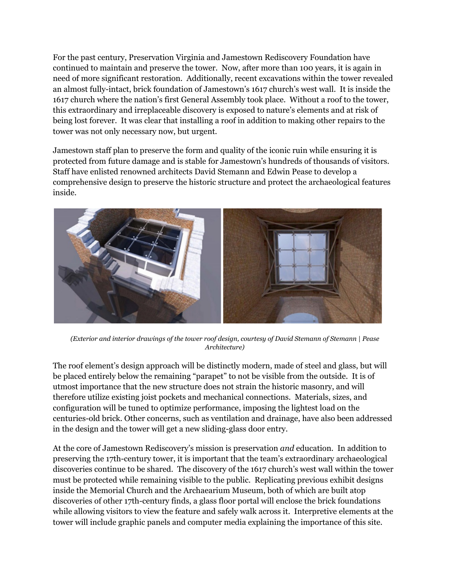For the past century, Preservation Virginia and Jamestown Rediscovery Foundation have continued to maintain and preserve the tower. Now, after more than 100 years, it is again in need of more significant restoration. Additionally, recent excavations within the tower revealed an almost fully-intact, brick foundation of Jamestown's 1617 church's west wall. It is inside the 1617 church where the nation's first General Assembly took place. Without a roof to the tower, this extraordinary and irreplaceable discovery is exposed to nature's elements and at risk of being lost forever. It was clear that installing a roof in addition to making other repairs to the tower was not only necessary now, but urgent.

Jamestown staff plan to preserve the form and quality of the iconic ruin while ensuring it is protected from future damage and is stable for Jamestown's hundreds of thousands of visitors. Staff have enlisted renowned architects David Stemann and Edwin Pease to develop a comprehensive design to preserve the historic structure and protect the archaeological features inside.



*(Exterior and interior drawings of the tower roof design, courtesy of David Stemann of Stemann | Pease Architecture)*

The roof element's design approach will be distinctly modern, made of steel and glass, but will be placed entirely below the remaining "parapet" to not be visible from the outside. It is of utmost importance that the new structure does not strain the historic masonry, and will therefore utilize existing joist pockets and mechanical connections. Materials, sizes, and configuration will be tuned to optimize performance, imposing the lightest load on the centuries-old brick. Other concerns, such as ventilation and drainage, have also been addressed in the design and the tower will get a new sliding-glass door entry.

At the core of Jamestown Rediscovery's mission is preservation *and* education. In addition to preserving the 17th-century tower, it is important that the team's extraordinary archaeological discoveries continue to be shared. The discovery of the 1617 church's west wall within the tower must be protected while remaining visible to the public. Replicating previous exhibit designs inside the Memorial Church and the Archaearium Museum, both of which are built atop discoveries of other 17th-century finds, a glass floor portal will enclose the brick foundations while allowing visitors to view the feature and safely walk across it. Interpretive elements at the tower will include graphic panels and computer media explaining the importance of this site.